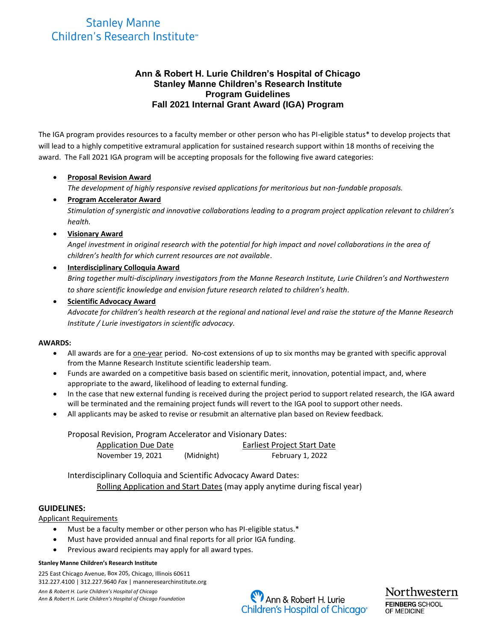## **Ann & Robert H. Lurie Children's Hospital of Chicago Stanley Manne Children's Research Institute Program Guidelines Fall 2021 Internal Grant Award (IGA) Program**

The IGA program provides resources to a faculty member or other person who has PI-eligible status\* to develop projects that will lead to a highly competitive extramural application for sustained research support within 18 months of receiving the award. The Fall 2021 IGA program will be accepting proposals for the following five award categories:

## • **Proposal Revision Award**

*The development of highly responsive revised applications for meritorious but non-fundable proposals.* 

• **Program Accelerator Award** *Stimulation of synergistic and innovative collaborations leading to a program project application relevant to children's health.*

## • **Visionary Award**

*Angel investment in original research with the potential for high impact and novel collaborations in the area of children's health for which current resources are not available*.

## • **Interdisciplinary Colloquia Award**

*Bring together multi-disciplinary investigators from the Manne Research Institute, Lurie Children's and Northwestern to share scientific knowledge and envision future research related to children's health.*

## • **Scientific Advocacy Award**

*Advocate for children's health research at the regional and national level and raise the stature of the Manne Research Institute / Lurie investigators in scientific advocacy.*

### **AWARDS:**

- All awards are for a one-year period. No-cost extensions of up to six months may be granted with specific approval from the Manne Research Institute scientific leadership team.
- Funds are awarded on a competitive basis based on scientific merit, innovation, potential impact, and, where appropriate to the award, likelihood of leading to external funding.
- In the case that new external funding is received during the project period to support related research, the IGA award will be terminated and the remaining project funds will revert to the IGA pool to support other needs.
- All applicants may be asked to revise or resubmit an alternative plan based on Review feedback.

Proposal Revision, Program Accelerator and Visionary Dates:

| <b>Application Due Date</b> |            | Earliest Project Start Date |
|-----------------------------|------------|-----------------------------|
| November 19, 2021           | (Midnight) | February 1, 2022            |

Interdisciplinary Colloquia and Scientific Advocacy Award Dates: Rolling Application and Start Dates (may apply anytime during fiscal year)

### **GUIDELINES:**

Applicant Requirements

- Must be a faculty member or other person who has PI-eligible status.\*
- Must have provided annual and final reports for all prior IGA funding.
- Previous award recipients may apply for all award types.

#### **Stanley Manne Children's Research Institute**

225 East Chicago Avenue, Box 205, Chicago, Illinois 60611 312.227.4100 | 312.227.9640 *Fax* | manneresearchinstitute.org *Ann & Robert H. Lurie Children's Hospital of Chicago Ann & Robert H. Lurie Children's Hospital of Chicago Foundation*

No Ann & Robert H. Lurie **Children's Hospital of Chicago®**  Northwestern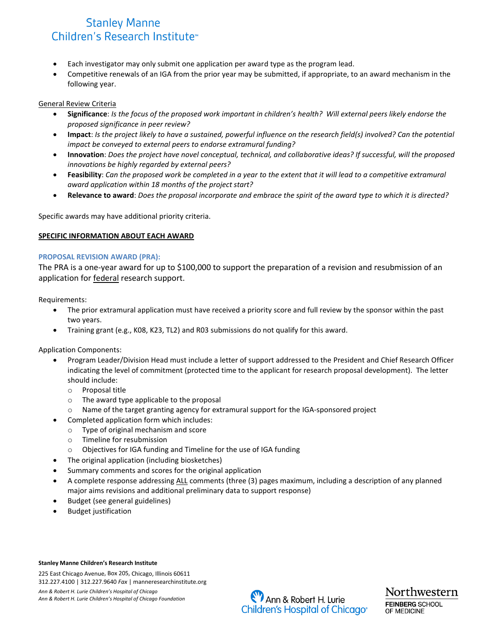- Each investigator may only submit one application per award type as the program lead.
- Competitive renewals of an IGA from the prior year may be submitted, if appropriate, to an award mechanism in the following year.

### General Review Criteria

- **Significance**: *Is the focus of the proposed work important in children's health? Will external peers likely endorse the proposed significance in peer review?*
- **Impact**: *Is the project likely to have a sustained, powerful influence on the research field(s) involved? Can the potential impact be conveyed to external peers to endorse extramural funding?*
- **Innovation**: *Does the project have novel conceptual, technical, and collaborative ideas? If successful, will the proposed innovations be highly regarded by external peers?*
- **Feasibility**: *Can the proposed work be completed in a year to the extent that it will lead to a competitive extramural award application within 18 months of the project start?*
- **Relevance to award**: *Does the proposal incorporate and embrace the spirit of the award type to which it is directed?*

Specific awards may have additional priority criteria.

#### **SPECIFIC INFORMATION ABOUT EACH AWARD**

#### **PROPOSAL REVISION AWARD (PRA):**

The PRA is a one-year award for up to \$100,000 to support the preparation of a revision and resubmission of an application for federal research support.

Requirements:

- The prior extramural application must have received a priority score and full review by the sponsor within the past two years.
- Training grant (e.g., K08, K23, TL2) and R03 submissions do not qualify for this award.

Application Components:

- Program Leader/Division Head must include a letter of support addressed to the President and Chief Research Officer indicating the level of commitment (protected time to the applicant for research proposal development). The letter should include:
	- o Proposal title
	- o The award type applicable to the proposal
	- o Name of the target granting agency for extramural support for the IGA-sponsored project
	- Completed application form which includes:
		- o Type of original mechanism and score
		- o Timeline for resubmission
		- o Objectives for IGA funding and Timeline for the use of IGA funding
- The original application (including biosketches)
- Summary comments and scores for the original application
- A complete response addressing ALL comments (three (3) pages maximum, including a description of any planned major aims revisions and additional preliminary data to support response)
- Budget (see general guidelines)
- Budget justification

#### **Stanley Manne Children's Research Institute**

225 East Chicago Avenue, Box 205, Chicago, Illinois 60611 312.227.4100 | 312.227.9640 *Fax* | manneresearchinstitute.org *Ann & Robert H. Lurie Children's Hospital of Chicago Ann & Robert H. Lurie Children's Hospital of Chicago Foundation*

No Ann & Robert H. Lurie **Children's Hospital of Chicago®** 

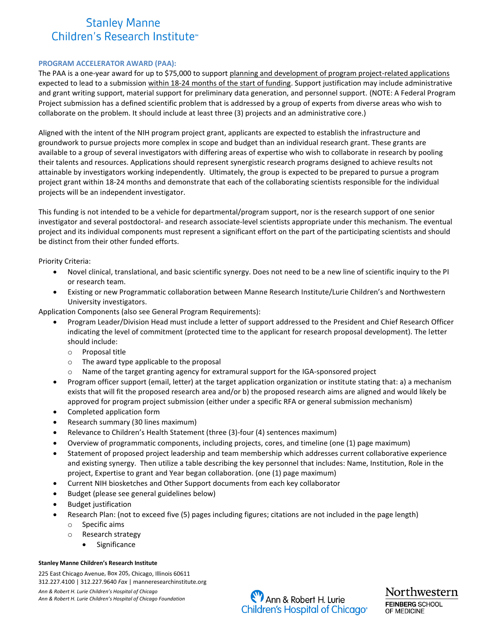### **PROGRAM ACCELERATOR AWARD (PAA):**

The PAA is a one-year award for up to \$75,000 to support planning and development of program project-related applications expected to lead to a submission within 18-24 months of the start of funding. Support justification may include administrative and grant writing support, material support for preliminary data generation, and personnel support. (NOTE: A Federal Program Project submission has a defined scientific problem that is addressed by a group of experts from diverse areas who wish to collaborate on the problem. It should include at least three (3) projects and an administrative core.)

Aligned with the intent of the NIH program project grant, applicants are expected to establish the infrastructure and groundwork to pursue projects more complex in scope and budget than an individual research grant. These grants are available to a group of several investigators with differing areas of expertise who wish to collaborate in research by pooling their talents and resources. Applications should represent synergistic research programs designed to achieve results not attainable by investigators working independently. Ultimately, the group is expected to be prepared to pursue a program project grant within 18-24 months and demonstrate that each of the collaborating scientists responsible for the individual projects will be an independent investigator.

This funding is not intended to be a vehicle for departmental/program support, nor is the research support of one senior investigator and several postdoctoral- and research associate-level scientists appropriate under this mechanism. The eventual project and its individual components must represent a significant effort on the part of the participating scientists and should be distinct from their other funded efforts.

Priority Criteria:

- Novel clinical, translational, and basic scientific synergy. Does not need to be a new line of scientific inquiry to the PI or research team.
- Existing or new Programmatic collaboration between Manne Research Institute/Lurie Children's and Northwestern University investigators.

Application Components (also see General Program Requirements):

- Program Leader/Division Head must include a letter of support addressed to the President and Chief Research Officer indicating the level of commitment (protected time to the applicant for research proposal development). The letter should include:
	- o Proposal title
	- o The award type applicable to the proposal
	- o Name of the target granting agency for extramural support for the IGA-sponsored project
- Program officer support (email, letter) at the target application organization or institute stating that: a) a mechanism exists that will fit the proposed research area and/or b) the proposed research aims are aligned and would likely be approved for program project submission (either under a specific RFA or general submission mechanism)
- Completed application form
- Research summary (30 lines maximum)
- Relevance to Children's Health Statement (three (3)-four (4) sentences maximum)
- Overview of programmatic components, including projects, cores, and timeline (one (1) page maximum)
- Statement of proposed project leadership and team membership which addresses current collaborative experience and existing synergy. Then utilize a table describing the key personnel that includes: Name, Institution, Role in the project, Expertise to grant and Year began collaboration. (one (1) page maximum)
- Current NIH biosketches and Other Support documents from each key collaborator
- Budget (please see general guidelines below)
- Budget justification
- Research Plan: (not to exceed five (5) pages including figures; citations are not included in the page length)
	- o Specific aims
	- o Research strategy
		- Significance

#### **Stanley Manne Children's Research Institute**

225 East Chicago Avenue, Box 205, Chicago, Illinois 60611 312.227.4100 | 312.227.9640 *Fax* | manneresearchinstitute.org *Ann & Robert H. Lurie Children's Hospital of Chicago Ann & Robert H. Lurie Children's Hospital of Chicago Foundation*

No Ann & Robert H. Lurie **Children's Hospital of Chicago®**  Northwestern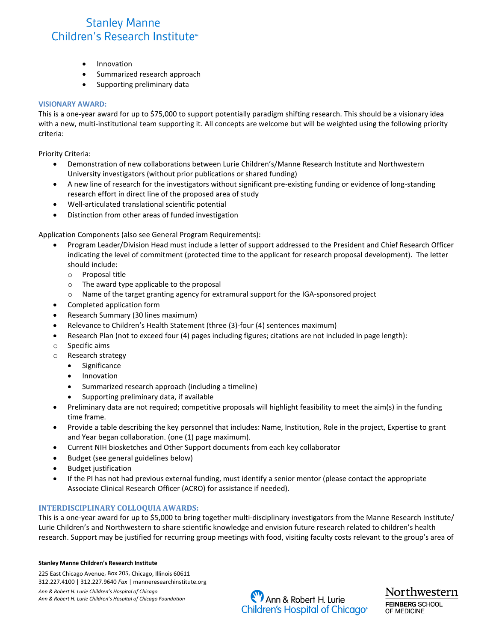- **Innovation**
- Summarized research approach
- Supporting preliminary data

### **VISIONARY AWARD:**

This is a one-year award for up to \$75,000 to support potentially paradigm shifting research. This should be a visionary idea with a new, multi-institutional team supporting it. All concepts are welcome but will be weighted using the following priority criteria:

Priority Criteria:

- Demonstration of new collaborations between Lurie Children's/Manne Research Institute and Northwestern University investigators (without prior publications or shared funding)
- A new line of research for the investigators without significant pre-existing funding or evidence of long-standing research effort in direct line of the proposed area of study
- Well-articulated translational scientific potential
- Distinction from other areas of funded investigation

Application Components (also see General Program Requirements):

- Program Leader/Division Head must include a letter of support addressed to the President and Chief Research Officer indicating the level of commitment (protected time to the applicant for research proposal development). The letter should include:
	- o Proposal title
	- o The award type applicable to the proposal
	- o Name of the target granting agency for extramural support for the IGA-sponsored project
- Completed application form
- Research Summary (30 lines maximum)
- Relevance to Children's Health Statement (three (3)-four (4) sentences maximum)
- Research Plan (not to exceed four (4) pages including figures; citations are not included in page length):
- o Specific aims
- o Research strategy
	- **Significance** 
		- **Innovation**
		- Summarized research approach (including a timeline)
		- Supporting preliminary data, if available
- Preliminary data are not required; competitive proposals will highlight feasibility to meet the aim(s) in the funding time frame.
- Provide a table describing the key personnel that includes: Name, Institution, Role in the project, Expertise to grant and Year began collaboration. (one (1) page maximum).
- Current NIH biosketches and Other Support documents from each key collaborator
- Budget (see general guidelines below)
- Budget justification
- If the PI has not had previous external funding, must identify a senior mentor (please contact the appropriate Associate Clinical Research Officer (ACRO) for assistance if needed).

### **INTERDISCIPLINARY COLLOQUIA AWARDS:**

This is a one-year award for up to \$5,000 to bring together multi-disciplinary investigators from the Manne Research Institute/ Lurie Children's and Northwestern to share scientific knowledge and envision future research related to children's health research. Support may be justified for recurring group meetings with food, visiting faculty costs relevant to the group's area of

#### **Stanley Manne Children's Research Institute**

225 East Chicago Avenue, Box 205, Chicago, Illinois 60611 312.227.4100 | 312.227.9640 *Fax* | manneresearchinstitute.org *Ann & Robert H. Lurie Children's Hospital of Chicago Ann & Robert H. Lurie Children's Hospital of Chicago Foundation*

No Ann & Robert H. Lurie **Children's Hospital of Chicago®**  Northwestern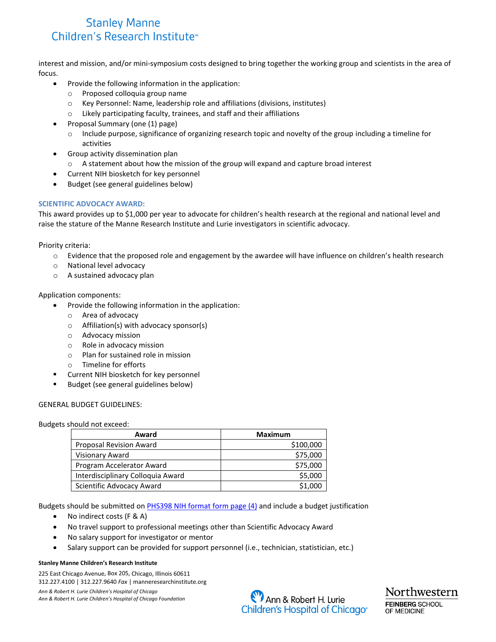interest and mission, and/or mini-symposium costs designed to bring together the working group and scientists in the area of focus.

- Provide the following information in the application:
	- o Proposed colloquia group name
	- o Key Personnel: Name, leadership role and affiliations (divisions, institutes)
	- o Likely participating faculty, trainees, and staff and their affiliations
- Proposal Summary (one (1) page)
	- o Include purpose, significance of organizing research topic and novelty of the group including a timeline for activities
- Group activity dissemination plan
	- $\circ$  A statement about how the mission of the group will expand and capture broad interest
- Current NIH biosketch for key personnel
- Budget (see general guidelines below)

#### **SCIENTIFIC ADVOCACY AWARD:**

This award provides up to \$1,000 per year to advocate for children's health research at the regional and national level and raise the stature of the Manne Research Institute and Lurie investigators in scientific advocacy.

Priority criteria:

- $\circ$  Evidence that the proposed role and engagement by the awardee will have influence on children's health research
- o National level advocacy
- o A sustained advocacy plan

#### Application components:

- Provide the following information in the application:
	- o Area of advocacy
	- o Affiliation(s) with advocacy sponsor(s)
	- o Advocacy mission
	- o Role in advocacy mission
	- o Plan for sustained role in mission
	- o Timeline for efforts
- Current NIH biosketch for key personnel
- Budget (see general guidelines below)

#### GENERAL BUDGET GUIDELINES:

#### Budgets should not exceed:

| Award                             | <b>Maximum</b> |
|-----------------------------------|----------------|
| Proposal Revision Award           | \$100,000      |
| <b>Visionary Award</b>            | \$75,000       |
| Program Accelerator Award         | \$75,000       |
| Interdisciplinary Colloquia Award | \$5,000        |
| Scientific Advocacy Award         | \$1,000        |

Budgets should be submitted o[n PHS398 NIH format form](http://grants1.nih.gov/grants/funding/phs398/fp4.doc) page (4) and include a budget justification

- No indirect costs (F & A)
- No travel support to professional meetings other than Scientific Advocacy Award
- No salary support for investigator or mentor
- Salary support can be provided for support personnel (i.e., technician, statistician, etc.)

#### **Stanley Manne Children's Research Institute**

225 East Chicago Avenue, Box 205, Chicago, Illinois 60611 312.227.4100 | 312.227.9640 *Fax* | manneresearchinstitute.org *Ann & Robert H. Lurie Children's Hospital of Chicago Ann & Robert H. Lurie Children's Hospital of Chicago Foundation*

**EV** Ann & Robert H. Lurie **Children's Hospital of Chicago®**  Northwestern